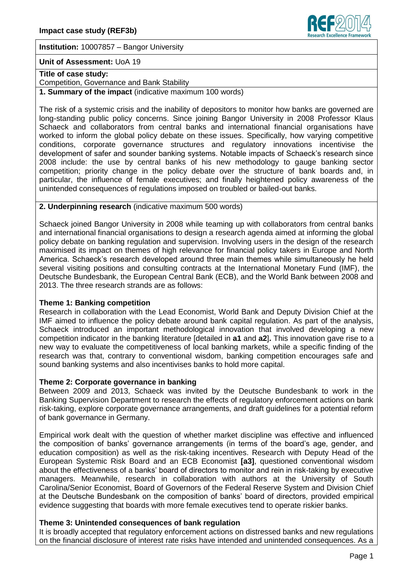

**Institution:** 10007857 – Bangor University

### **Unit of Assessment:** UoA 19

# **Title of case study:**

Competition, Governance and Bank Stability

**1. Summary of the impact** (indicative maximum 100 words)

The risk of a systemic crisis and the inability of depositors to monitor how banks are governed are long-standing public policy concerns. Since joining Bangor University in 2008 Professor Klaus Schaeck and collaborators from central banks and international financial organisations have worked to inform the global policy debate on these issues. Specifically, how varying competitive conditions, corporate governance structures and regulatory innovations incentivise the development of safer and sounder banking systems. Notable impacts of Schaeck's research since 2008 include: the use by central banks of his new methodology to gauge banking sector competition; priority change in the policy debate over the structure of bank boards and, in particular, the influence of female executives; and finally heightened policy awareness of the unintended consequences of regulations imposed on troubled or bailed-out banks.

### **2. Underpinning research** (indicative maximum 500 words)

Schaeck joined Bangor University in 2008 while teaming up with collaborators from central banks and international financial organisations to design a research agenda aimed at informing the global policy debate on banking regulation and supervision. Involving users in the design of the research maximised its impact on themes of high relevance for financial policy takers in Europe and North America. Schaeck's research developed around three main themes while simultaneously he held several visiting positions and consulting contracts at the International Monetary Fund (IMF), the Deutsche Bundesbank, the European Central Bank (ECB), and the World Bank between 2008 and 2013. The three research strands are as follows:

## **Theme 1: Banking competition**

Research in collaboration with the Lead Economist, World Bank and Deputy Division Chief at the IMF aimed to influence the policy debate around bank capital regulation. As part of the analysis, Schaeck introduced an important methodological innovation that involved developing a new competition indicator in the banking literature [detailed in **a1** and **a2**]**.** This innovation gave rise to a new way to evaluate the competitiveness of local banking markets, while a specific finding of the research was that, contrary to conventional wisdom, banking competition encourages safe and sound banking systems and also incentivises banks to hold more capital.

## **Theme 2: Corporate governance in banking**

Between 2009 and 2013, Schaeck was invited by the Deutsche Bundesbank to work in the Banking Supervision Department to research the effects of regulatory enforcement actions on bank risk-taking, explore corporate governance arrangements, and draft guidelines for a potential reform of bank governance in Germany.

Empirical work dealt with the question of whether market discipline was effective and influenced the composition of banks' governance arrangements (in terms of the board's age, gender, and education composition) as well as the risk-taking incentives. Research with Deputy Head of the European Systemic Risk Board and an ECB Economist **[a3]**, questioned conventional wisdom about the effectiveness of a banks' board of directors to monitor and rein in risk-taking by executive managers. Meanwhile, research in collaboration with authors at the University of South Carolina/Senior Economist, Board of Governors of the Federal Reserve System and Division Chief at the Deutsche Bundesbank on the composition of banks' board of directors, provided empirical evidence suggesting that boards with more female executives tend to operate riskier banks.

## **Theme 3: Unintended consequences of bank regulation**

It is broadly accepted that regulatory enforcement actions on distressed banks and new regulations on the financial disclosure of interest rate risks have intended and unintended consequences. As a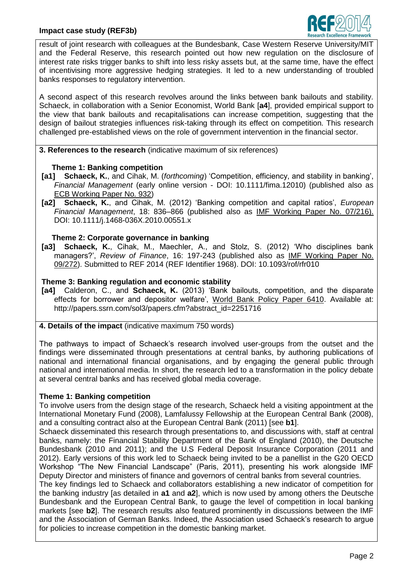

result of joint research with colleagues at the Bundesbank, Case Western Reserve University/MIT and the Federal Reserve, this research pointed out how new regulation on the disclosure of interest rate risks trigger banks to shift into less risky assets but, at the same time, have the effect of incentivising more aggressive hedging strategies. It led to a new understanding of troubled banks responses to regulatory intervention.

A second aspect of this research revolves around the links between bank bailouts and stability. Schaeck, in collaboration with a Senior Economist, World Bank [**a4**], provided empirical support to the view that bank bailouts and recapitalisations can increase competition, suggesting that the design of bailout strategies influences risk-taking through its effect on competition. This research challenged pre-established views on the role of government intervention in the financial sector.

**3. References to the research** (indicative maximum of six references)

## **Theme 1: Banking competition**

- **[a1] Schaeck, K.**, and Cihak, M. (*forthcoming*) 'Competition, efficiency, and stability in banking', *Financial Management* (early online version - DOI: 10.1111/fima.12010) (published also as [ECB Working Paper No. 932\)](http://papers.ssrn.com/sol3/papers.cfm?abstract_id=1240856)
- **[a2] Schaeck, K.**, and Cihak, M. (2012) 'Banking competition and capital ratios', *European Financial Management*, 18: 836–866 (published also as [IMF Working Paper No. 07/216\)](http://papers.ssrn.com/sol3/papers.cfm?abstract_id=1016246##). DOI: 10.1111/j.1468-036X.2010.00551.x

### **Theme 2: Corporate governance in banking**

**[a3] Schaeck, K.**, Cihak, M., Maechler, A., and Stolz, S. (2012) 'Who disciplines bank managers?', *Review of Finance*, 16: 197-243 (published also as [IMF Working Paper No.](http://papers.ssrn.com/sol3/papers.cfm?abstract_id=1531505)  [09/272\)](http://papers.ssrn.com/sol3/papers.cfm?abstract_id=1531505). Submitted to REF 2014 (REF Identifier 1968). DOI: 10.1093/rof/rfr010

# **Theme 3: Banking regulation and economic stability**

**[a4]** Calderon, C., and **Schaeck, K.** (2013) 'Bank bailouts, competition, and the disparate effects for borrower and depositor welfare', [World Bank Policy Paper 6410.](http://elibrary.worldbank.org/content/workingpaper/10.1596/1813-9450-6410) Available at: http://papers.ssrn.com/sol3/papers.cfm?abstract\_id=2251716

# **4. Details of the impact** (indicative maximum 750 words)

The pathways to impact of Schaeck's research involved user-groups from the outset and the findings were disseminated through presentations at central banks, by authoring publications of national and international financial organisations, and by engaging the general public through national and international media. In short, the research led to a transformation in the policy debate at several central banks and has received global media coverage.

### **Theme 1: Banking competition**

To involve users from the design stage of the research, Schaeck held a visiting appointment at the International Monetary Fund (2008), Lamfalussy Fellowship at the European Central Bank (2008), and a consulting contract also at the European Central Bank (2011) [see **b1**].

Schaeck disseminated this research through presentations to, and discussions with, staff at central banks, namely: the Financial Stability Department of the Bank of England (2010), the Deutsche Bundesbank (2010 and 2011); and the U.S Federal Deposit Insurance Corporation (2011 and 2012). Early versions of this work led to Schaeck being invited to be a panellist in the G20 OECD Workshop "The New Financial Landscape" (Paris, 2011), presenting his work alongside IMF Deputy Director and ministers of finance and governors of central banks from several countries.

The key findings led to Schaeck and collaborators establishing a new indicator of competition for the banking industry [as detailed in **a1** and **a2**], which is now used by among others the Deutsche Bundesbank and the European Central Bank, to gauge the level of competition in local banking markets [see **b2**]. The research results also featured prominently in discussions between the IMF and the Association of German Banks. Indeed, the Association used Schaeck's research to argue for policies to increase competition in the domestic banking market.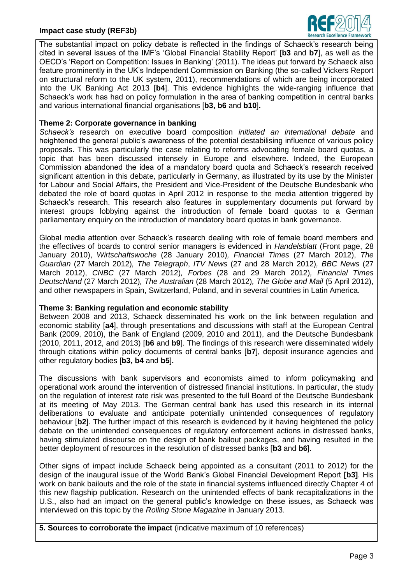### **Impact case study (REF3b)**



The substantial impact on policy debate is reflected in the findings of Schaeck's research being cited in several issues of the IMF's 'Global Financial Stability Report' [**b3** and **b7**], as well as the OECD's 'Report on Competition: Issues in Banking' (2011). The ideas put forward by Schaeck also feature prominently in the UK's Independent Commission on Banking (the so-called Vickers Report on structural reform to the UK system, 2011), recommendations of which are being incorporated into the UK Banking Act 2013 [**b4**]. This evidence highlights the wide-ranging influence that Schaeck's work has had on policy formulation in the area of banking competition in central banks and various international financial organisations [**b3, b6** and **b10**]**.**

### **Theme 2: Corporate governance in banking**

*Schaeck's* research on executive board composition *initiated an international debate* and heightened the general public's awareness of the potential destabilising influence of various policy proposals. This was particularly the case relating to reforms advocating female board quotas, a topic that has been discussed intensely in Europe and elsewhere. Indeed, the European Commission abandoned the idea of a mandatory board quota and Schaeck's research received significant attention in this debate, particularly in Germany, as illustrated by its use by the Minister for Labour and Social Affairs, the President and Vice-President of the Deutsche Bundesbank who debated the role of board quotas in April 2012 in response to the media attention triggered by Schaeck's research. This research also features in supplementary documents put forward by interest groups lobbying against the introduction of female board quotas to a German parliamentary enquiry on the introduction of mandatory board quotas in bank governance.

Global media attention over Schaeck's research dealing with role of female board members and the effectives of boards to control senior managers is evidenced in *Handelsblatt* (Front page, 28 January 2010), *Wirtschaftswoche* (28 January 2010)*, Financial Times* (27 March 2012), *The Guardian* (27 March 2012)*, The Telegraph*, *ITV News* (27 and 28 March 2012)*, BBC News* (27 March 2012), *CNBC* (27 March 2012)*, Forbes* (28 and 29 March 2012)*, Financial Times Deutschland* (27 March 2012)*, The Australian* (28 March 2012)*, The Globe and Mail* (5 April 2012), and other newspapers in Spain, Switzerland, Poland, and in several countries in Latin America.

#### **Theme 3: Banking regulation and economic stability**

Between 2008 and 2013, Schaeck disseminated his work on the link between regulation and economic stability [**a4**], through presentations and discussions with staff at the European Central Bank (2009, 2010), the Bank of England (2009, 2010 and 2011), and the Deutsche Bundesbank (2010, 2011, 2012, and 2013) [**b6** and **b9**]. The findings of this research were disseminated widely through citations within policy documents of central banks [**b7**], deposit insurance agencies and other regulatory bodies [**b3, b4** and **b5**]**.**

The discussions with bank supervisors and economists aimed to inform policymaking and operational work around the intervention of distressed financial institutions. In particular, the study on the regulation of interest rate risk was presented to the full Board of the Deutsche Bundesbank at its meeting of May 2013. The German central bank has used this research in its internal deliberations to evaluate and anticipate potentially unintended consequences of regulatory behaviour [**b2**]. The further impact of this research is evidenced by it having heightened the policy debate on the unintended consequences of regulatory enforcement actions in distressed banks, having stimulated discourse on the design of bank bailout packages, and having resulted in the better deployment of resources in the resolution of distressed banks [**b3** and **b6**].

Other signs of impact include Schaeck being appointed as a consultant (2011 to 2012) for the design of the inaugural issue of the World Bank's Global Financial Development Report **[b3]**. His work on bank bailouts and the role of the state in financial systems influenced directly Chapter 4 of this new flagship publication. Research on the unintended effects of bank recapitalizations in the U.S., also had an impact on the general public's knowledge on these issues, as Schaeck was interviewed on this topic by the *Rolling Stone Magazine* in January 2013.

**5. Sources to corroborate the impact** (indicative maximum of 10 references)